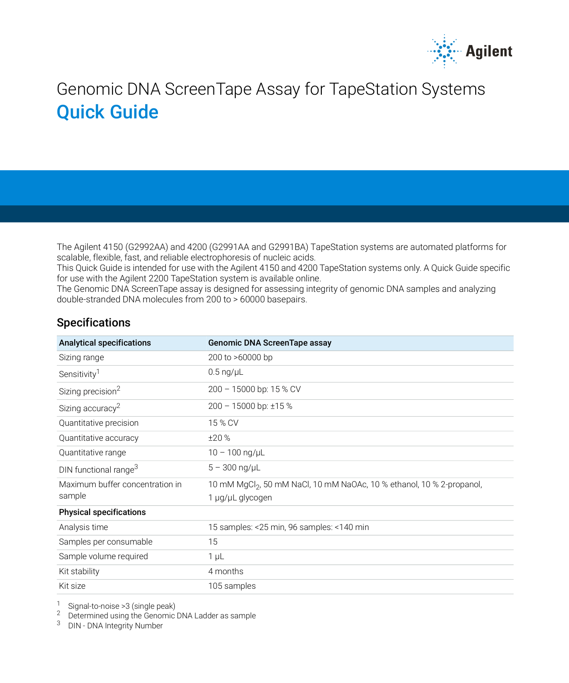

# Genomic DNA ScreenTape Assay for TapeStation Systems Quick Guide

The Agilent 4150 (G2992AA) and 4200 (G2991AA and G2991BA) TapeStation systems are automated platforms for scalable, flexible, fast, and reliable electrophoresis of nucleic acids.

This Quick Guide is intended for use with the Agilent 4150 and 4200 TapeStation systems only. A Quick Guide specific for use with the Agilent 2200 TapeStation system is available online.

The Genomic DNA ScreenTape assay is designed for assessing integrity of genomic DNA samples and analyzing double-stranded DNA molecules from 200 to > 60000 basepairs.

### Specifications

<span id="page-0-0"></span>

| <b>Analytical specifications</b>  | Genomic DNA ScreenTape assay                                                      |
|-----------------------------------|-----------------------------------------------------------------------------------|
| Sizing range                      | 200 to >60000 bp                                                                  |
| Sensitivity <sup>1</sup>          | $0.5 \text{ ng/}\mu L$                                                            |
| Sizing precision <sup>2</sup>     | 200 - 15000 bp: 15 % CV                                                           |
| Sizing accuracy <sup>2</sup>      | 200 - 15000 bp: ±15 %                                                             |
| Quantitative precision            | 15 % CV                                                                           |
| Quantitative accuracy             | ±20%                                                                              |
| Quantitative range                | $10 - 100$ ng/µL                                                                  |
| DIN functional range <sup>3</sup> | $5 - 300$ ng/ $\mu$ L                                                             |
| Maximum buffer concentration in   | 10 mM MgCl <sub>2</sub> , 50 mM NaCl, 10 mM NaOAc, 10 % ethanol, 10 % 2-propanol, |
| sample                            | 1 µg/µL glycogen                                                                  |
| <b>Physical specifications</b>    |                                                                                   |
| Analysis time                     | 15 samples: <25 min, 96 samples: <140 min                                         |
| Samples per consumable            | 15                                                                                |
| Sample volume required            | $1 \mu L$                                                                         |
| Kit stability                     | 4 months                                                                          |
| Kit size                          | 105 samples                                                                       |

<sup>1</sup> Signal-to-noise >3 (single peak)

<sup>2</sup> Determined using the Genomic DNA Ladder as sample

<sup>3</sup> DIN - DNA Integrity Number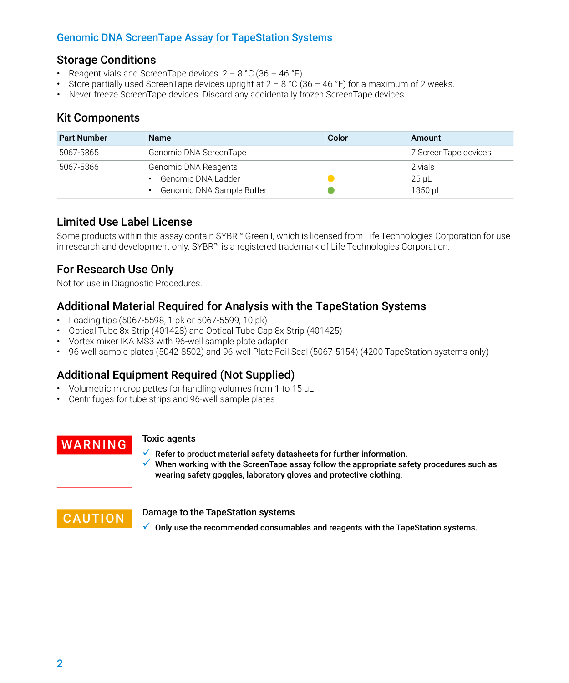# Genomic DNA ScreenTape Assay for TapeStation Systems

### Storage Conditions

- Reagent vials and ScreenTape devices:  $2 8$  °C (36 46 °F).
- Store partially used ScreenTape devices upright at  $2 8$  °C (36 46 °F) for a maximum of 2 weeks.
- Never freeze ScreenTape devices. Discard any accidentally frozen ScreenTape devices.

# Kit Components

| <b>Part Number</b> | <b>Name</b>               | Color | Amount               |
|--------------------|---------------------------|-------|----------------------|
| 5067-5365          | Genomic DNA ScreenTape    |       | 7 ScreenTape devices |
| 5067-5366          | Genomic DNA Reagents      |       | 2 vials              |
|                    | Genomic DNA Ladder        |       | $25 \mu L$           |
|                    | Genomic DNA Sample Buffer |       | 1350 uL              |

# Limited Use Label License

Some products within this assay contain SYBR™ Green I, which is licensed from Life Technologies Corporation for use in research and development only. SYBR™ is a registered trademark of Life Technologies Corporation.

# For Research Use Only

Not for use in Diagnostic Procedures.

# Additional Material Required for Analysis with the TapeStation Systems

- Loading tips (5067-5598, 1 pk or 5067-5599, 10 pk)
- Optical Tube 8x Strip (401428) and Optical Tube Cap 8x Strip (401425)
- Vortex mixer IKA MS3 with 96-well sample plate adapter
- 96-well sample plates (5042-8502) and 96-well Plate Foil Seal (5067-5154) (4200 TapeStation systems only)

# Additional Equipment Required (Not Supplied)

- Volumetric micropipettes for handling volumes from 1 to 15 µL
- Centrifuges for tube strips and 96-well sample plates

# WARNING Toxic agents

 $\checkmark$  Refer to product material safety datasheets for further information.  $\checkmark$  When working with the ScreenTape assay follow the appropriate safety procedures such as wearing safety goggles, laboratory gloves and protective clothing.

CAUTION Damage to the TapeStation systems

 $\checkmark$  Only use the recommended consumables and reagents with the TapeStation systems.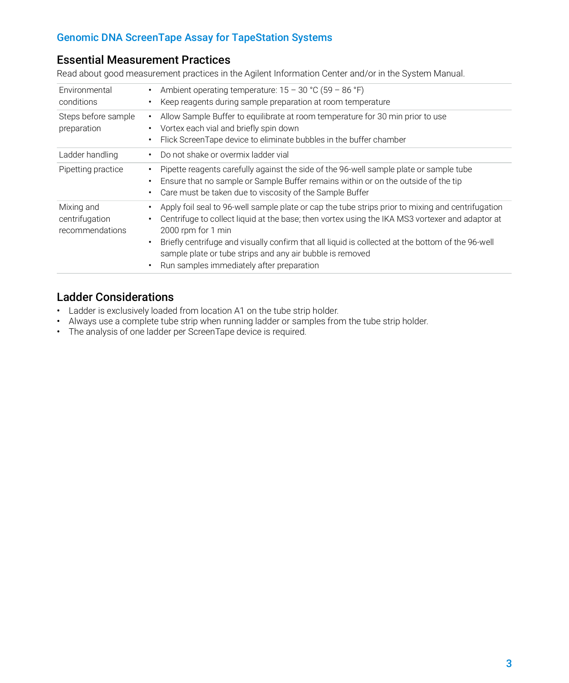# Genomic DNA ScreenTape Assay for TapeStation Systems

# Essential Measurement Practices

Read about good measurement practices in the Agilent Information Center and/or in the System Manual.

| Environmental<br>conditions                     | Ambient operating temperature: $15 - 30$ °C (59 – 86 °F)<br>٠<br>Keep reagents during sample preparation at room temperature                                                                                                                                                                                                                                                                                                                        |
|-------------------------------------------------|-----------------------------------------------------------------------------------------------------------------------------------------------------------------------------------------------------------------------------------------------------------------------------------------------------------------------------------------------------------------------------------------------------------------------------------------------------|
| Steps before sample<br>preparation              | Allow Sample Buffer to equilibrate at room temperature for 30 min prior to use<br>٠<br>Vortex each vial and briefly spin down<br>Flick ScreenTape device to eliminate bubbles in the buffer chamber<br>٠                                                                                                                                                                                                                                            |
| Ladder handling                                 | Do not shake or overmix ladder vial<br>٠                                                                                                                                                                                                                                                                                                                                                                                                            |
| Pipetting practice                              | Pipette reagents carefully against the side of the 96-well sample plate or sample tube<br>٠<br>Ensure that no sample or Sample Buffer remains within or on the outside of the tip<br>٠<br>Care must be taken due to viscosity of the Sample Buffer<br>٠                                                                                                                                                                                             |
| Mixing and<br>centrifugation<br>recommendations | Apply foil seal to 96-well sample plate or cap the tube strips prior to mixing and centrifugation<br>Centrifuge to collect liquid at the base; then vortex using the IKA MS3 vortexer and adaptor at<br>2000 rpm for 1 min<br>Briefly centrifuge and visually confirm that all liquid is collected at the bottom of the 96-well<br>٠<br>sample plate or tube strips and any air bubble is removed<br>Run samples immediately after preparation<br>٠ |

# Ladder Considerations

- Ladder is exclusively loaded from location A1 on the tube strip holder.
- Always use a complete tube strip when running ladder or samples from the tube strip holder.
- The analysis of one ladder per ScreenTape device is required.